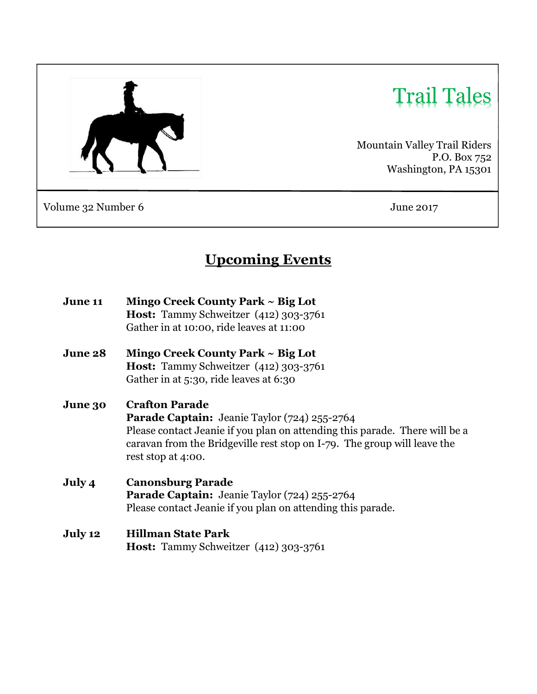

# Trail Tales

Mountain Valley Trail Riders P.O. Box 752 Washington, PA 15301

Volume 32 Number 6 June 2017

# Upcoming Events

| <b>June 11</b> | Mingo Creek County Park $\sim$ Big Lot                                                                                                                                        |  |  |  |
|----------------|-------------------------------------------------------------------------------------------------------------------------------------------------------------------------------|--|--|--|
|                | <b>Host:</b> Tammy Schweitzer (412) 303-3761                                                                                                                                  |  |  |  |
|                | Gather in at 10:00, ride leaves at 11:00                                                                                                                                      |  |  |  |
| <b>June 28</b> | Mingo Creek County Park $\sim$ Big Lot                                                                                                                                        |  |  |  |
|                | Host: Tammy Schweitzer (412) 303-3761                                                                                                                                         |  |  |  |
|                | Gather in at 5:30, ride leaves at 6:30                                                                                                                                        |  |  |  |
| <b>June 30</b> | <b>Crafton Parade</b>                                                                                                                                                         |  |  |  |
|                | <b>Parade Captain:</b> Jeanie Taylor (724) 255-2764                                                                                                                           |  |  |  |
|                | Please contact Jeanie if you plan on attending this parade. There will be a<br>caravan from the Bridgeville rest stop on I-79. The group will leave the<br>rest stop at 4:00. |  |  |  |
|                |                                                                                                                                                                               |  |  |  |
| July 4         | <b>Canonsburg Parade</b>                                                                                                                                                      |  |  |  |
|                | Parade Captain: Jeanie Taylor (724) 255-2764                                                                                                                                  |  |  |  |
|                | Please contact Jeanie if you plan on attending this parade.                                                                                                                   |  |  |  |
| July 12        | <b>Hillman State Park</b>                                                                                                                                                     |  |  |  |
|                | <b>Host:</b> Tammy Schweitzer (412) 303-3761                                                                                                                                  |  |  |  |
|                |                                                                                                                                                                               |  |  |  |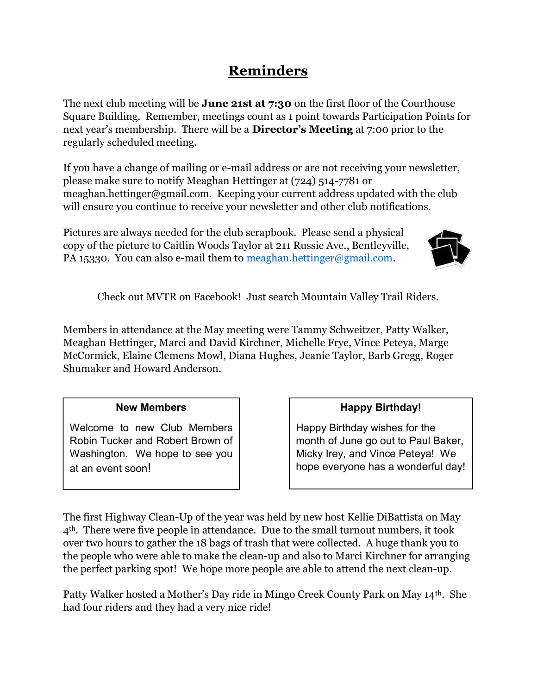## Reminders

The next club meeting will be **June 21st at 7:30** on the first floor of the Courthouse Square Building. Remember, meetings count as 1 point towards Participation Points for next year's membership. There will be a Director's Meeting at 7:00 prior to the regularly scheduled meeting.

If you have a change of mailing or e-mail address or are not receiving your newsletter, please make sure to notify Meaghan Hettinger at (724) 514-7781 or meaghan.hettinger@gmail.com. Keeping your current address updated with the club will ensure you continue to receive your newsletter and other club notifications.

Pictures are always needed for the club scrapbook. Please send a physical copy of the picture to Caitlin Woods Taylor at 211 Russie Ave., Bentleyville, PA 15330. You can also e-mail them to meaghan.hettinger@gmail.com.



Check out MVTR on Facebook! Just search Mountain Valley Trail Riders.

Members in attendance at the May meeting were Tammy Schweitzer, Patty Walker, Meaghan Hettinger, Marci and David Kirchner, Michelle Frye, Vince Peteya, Marge McCormick, Elaine Clemens Mowl, Diana Hughes, Jeanie Taylor, Barb Gregg, Roger Shumaker and Howard Anderson.

#### New Members

Welcome to new Club Members Robin Tucker and Robert Brown of Washington. We hope to see you at an event soon!

#### Happy Birthday!

Happy Birthday wishes for the month of June go out to Paul Baker, Micky Irey, and Vince Peteya! We hope everyone has a wonderful day!

The first Highway Clean-Up of the year was held by new host Kellie DiBattista on May 4th. There were five people in attendance. Due to the small turnout numbers, it took over two hours to gather the 18 bags of trash that were collected. A huge thank you to the people who were able to make the clean-up and also to Marci Kirchner for arranging the perfect parking spot! We hope more people are able to attend the next clean-up.

Patty Walker hosted a Mother's Day ride in Mingo Creek County Park on May 14th. She had four riders and they had a very nice ride!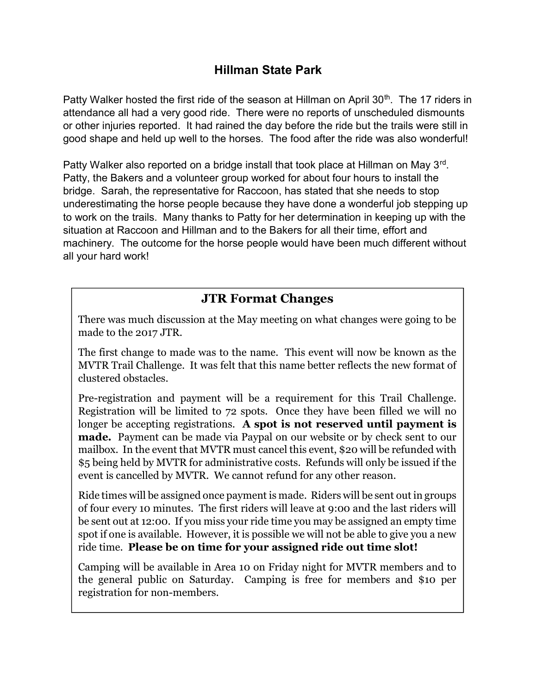### Hillman State Park

Patty Walker hosted the first ride of the season at Hillman on April 30<sup>th</sup>. The 17 riders in attendance all had a very good ride. There were no reports of unscheduled dismounts or other injuries reported. It had rained the day before the ride but the trails were still in good shape and held up well to the horses. The food after the ride was also wonderful!

Patty Walker also reported on a bridge install that took place at Hillman on May 3<sup>rd</sup>. Patty, the Bakers and a volunteer group worked for about four hours to install the bridge. Sarah, the representative for Raccoon, has stated that she needs to stop underestimating the horse people because they have done a wonderful job stepping up to work on the trails. Many thanks to Patty for her determination in keeping up with the situation at Raccoon and Hillman and to the Bakers for all their time, effort and machinery. The outcome for the horse people would have been much different without all your hard work!

## JTR Format Changes

There was much discussion at the May meeting on what changes were going to be made to the 2017 JTR.

The first change to made was to the name. This event will now be known as the MVTR Trail Challenge. It was felt that this name better reflects the new format of clustered obstacles.

Pre-registration and payment will be a requirement for this Trail Challenge. Registration will be limited to 72 spots. Once they have been filled we will no longer be accepting registrations. A spot is not reserved until payment is made. Payment can be made via Paypal on our website or by check sent to our mailbox. In the event that MVTR must cancel this event, \$20 will be refunded with \$5 being held by MVTR for administrative costs. Refunds will only be issued if the event is cancelled by MVTR. We cannot refund for any other reason.

Ride times will be assigned once payment is made. Riders will be sent out in groups of four every 10 minutes. The first riders will leave at 9:00 and the last riders will be sent out at 12:00. If you miss your ride time you may be assigned an empty time spot if one is available. However, it is possible we will not be able to give you a new ride time. Please be on time for your assigned ride out time slot!

Camping will be available in Area 10 on Friday night for MVTR members and to the general public on Saturday. Camping is free for members and \$10 per registration for non-members.